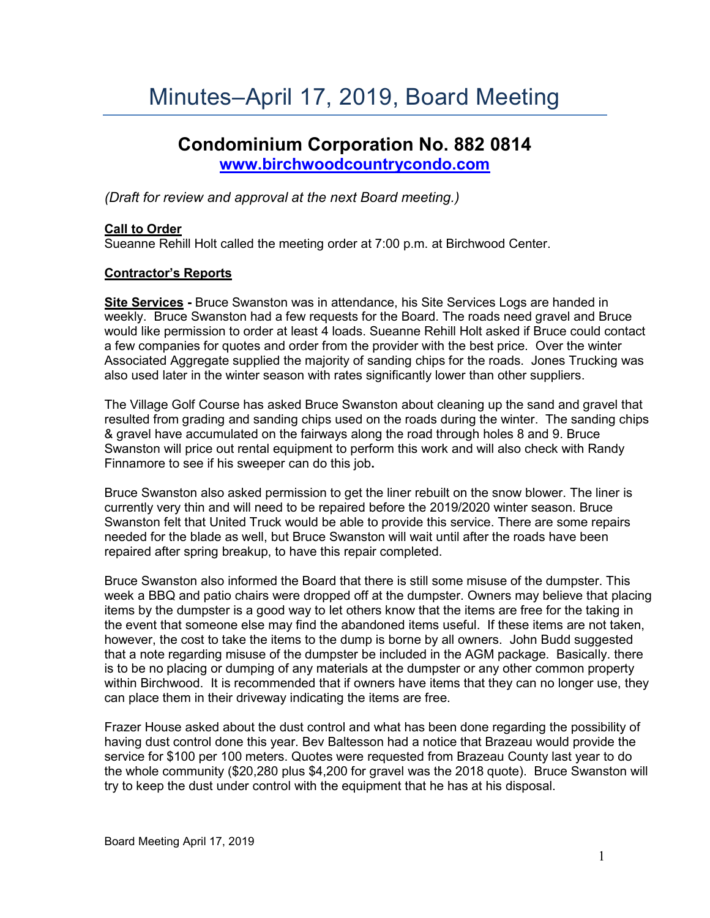# Minutes–April 17, 2019, Board Meeting

# **Condominium Corporation No. 882 0814 [www.birchwoodcountrycondo.com](http://www.birchwoodcountrycondo.com/)**

*(Draft for review and approval at the next Board meeting.)*

# **Call to Order**

Sueanne Rehill Holt called the meeting order at 7:00 p.m. at Birchwood Center.

# **Contractor's Reports**

**Site Services -** Bruce Swanston was in attendance, his Site Services Logs are handed in weekly. Bruce Swanston had a few requests for the Board. The roads need gravel and Bruce would like permission to order at least 4 loads. Sueanne Rehill Holt asked if Bruce could contact a few companies for quotes and order from the provider with the best price. Over the winter Associated Aggregate supplied the majority of sanding chips for the roads. Jones Trucking was also used later in the winter season with rates significantly lower than other suppliers.

The Village Golf Course has asked Bruce Swanston about cleaning up the sand and gravel that resulted from grading and sanding chips used on the roads during the winter. The sanding chips & gravel have accumulated on the fairways along the road through holes 8 and 9. Bruce Swanston will price out rental equipment to perform this work and will also check with Randy Finnamore to see if his sweeper can do this job**.** 

Bruce Swanston also asked permission to get the liner rebuilt on the snow blower. The liner is currently very thin and will need to be repaired before the 2019/2020 winter season. Bruce Swanston felt that United Truck would be able to provide this service. There are some repairs needed for the blade as well, but Bruce Swanston will wait until after the roads have been repaired after spring breakup, to have this repair completed.

Bruce Swanston also informed the Board that there is still some misuse of the dumpster. This week a BBQ and patio chairs were dropped off at the dumpster. Owners may believe that placing items by the dumpster is a good way to let others know that the items are free for the taking in the event that someone else may find the abandoned items useful. If these items are not taken, however, the cost to take the items to the dump is borne by all owners. John Budd suggested that a note regarding misuse of the dumpster be included in the AGM package. Basically. there is to be no placing or dumping of any materials at the dumpster or any other common property within Birchwood. It is recommended that if owners have items that they can no longer use, they can place them in their driveway indicating the items are free.

Frazer House asked about the dust control and what has been done regarding the possibility of having dust control done this year. Bev Baltesson had a notice that Brazeau would provide the service for \$100 per 100 meters. Quotes were requested from Brazeau County last year to do the whole community (\$20,280 plus \$4,200 for gravel was the 2018 quote). Bruce Swanston will try to keep the dust under control with the equipment that he has at his disposal.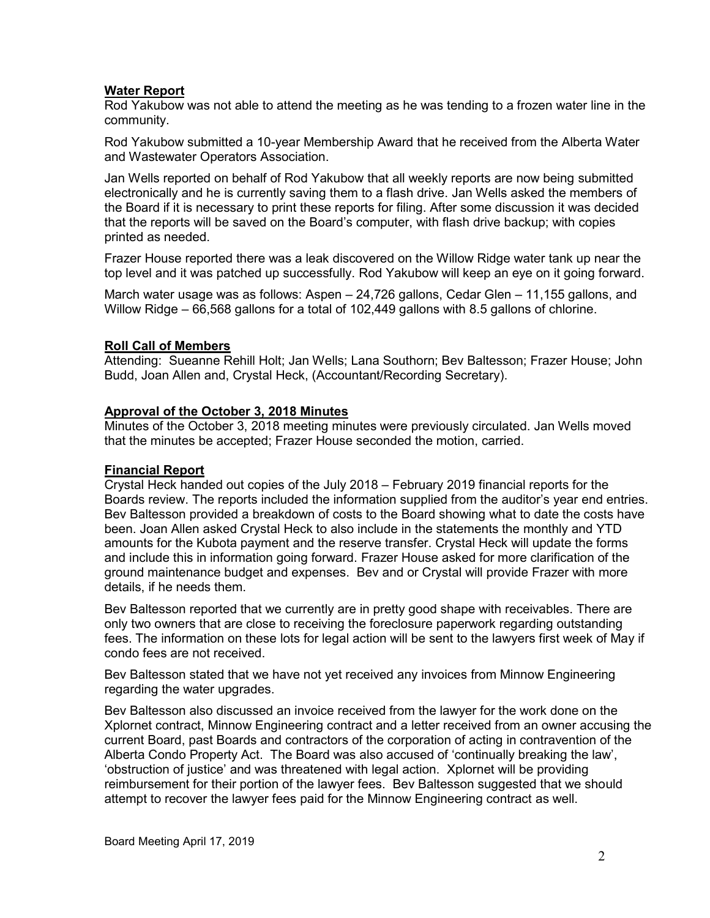# **Water Report**

Rod Yakubow was not able to attend the meeting as he was tending to a frozen water line in the community.

Rod Yakubow submitted a 10-year Membership Award that he received from the Alberta Water and Wastewater Operators Association.

Jan Wells reported on behalf of Rod Yakubow that all weekly reports are now being submitted electronically and he is currently saving them to a flash drive. Jan Wells asked the members of the Board if it is necessary to print these reports for filing. After some discussion it was decided that the reports will be saved on the Board's computer, with flash drive backup; with copies printed as needed.

Frazer House reported there was a leak discovered on the Willow Ridge water tank up near the top level and it was patched up successfully. Rod Yakubow will keep an eye on it going forward.

March water usage was as follows: Aspen – 24,726 gallons, Cedar Glen – 11,155 gallons, and Willow Ridge – 66,568 gallons for a total of 102,449 gallons with 8.5 gallons of chlorine.

#### **Roll Call of Members**

Attending: Sueanne Rehill Holt; Jan Wells; Lana Southorn; Bev Baltesson; Frazer House; John Budd, Joan Allen and, Crystal Heck, (Accountant/Recording Secretary).

# **Approval of the October 3, 2018 Minutes**

Minutes of the October 3, 2018 meeting minutes were previously circulated. Jan Wells moved that the minutes be accepted; Frazer House seconded the motion, carried.

# **Financial Report**

Crystal Heck handed out copies of the July 2018 – February 2019 financial reports for the Boards review. The reports included the information supplied from the auditor's year end entries. Bev Baltesson provided a breakdown of costs to the Board showing what to date the costs have been. Joan Allen asked Crystal Heck to also include in the statements the monthly and YTD amounts for the Kubota payment and the reserve transfer. Crystal Heck will update the forms and include this in information going forward. Frazer House asked for more clarification of the ground maintenance budget and expenses. Bev and or Crystal will provide Frazer with more details, if he needs them.

Bev Baltesson reported that we currently are in pretty good shape with receivables. There are only two owners that are close to receiving the foreclosure paperwork regarding outstanding fees. The information on these lots for legal action will be sent to the lawyers first week of May if condo fees are not received.

Bev Baltesson stated that we have not yet received any invoices from Minnow Engineering regarding the water upgrades.

Bev Baltesson also discussed an invoice received from the lawyer for the work done on the Xplornet contract, Minnow Engineering contract and a letter received from an owner accusing the current Board, past Boards and contractors of the corporation of acting in contravention of the Alberta Condo Property Act. The Board was also accused of 'continually breaking the law', 'obstruction of justice' and was threatened with legal action. Xplornet will be providing reimbursement for their portion of the lawyer fees. Bev Baltesson suggested that we should attempt to recover the lawyer fees paid for the Minnow Engineering contract as well.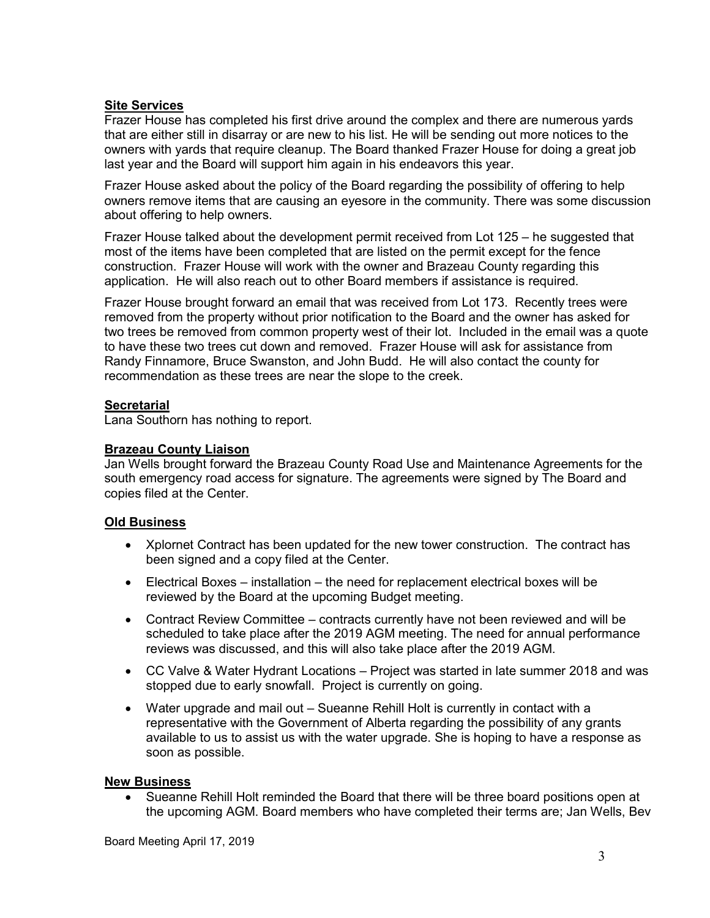#### **Site Services**

Frazer House has completed his first drive around the complex and there are numerous yards that are either still in disarray or are new to his list. He will be sending out more notices to the owners with yards that require cleanup. The Board thanked Frazer House for doing a great job last year and the Board will support him again in his endeavors this year.

Frazer House asked about the policy of the Board regarding the possibility of offering to help owners remove items that are causing an eyesore in the community. There was some discussion about offering to help owners.

Frazer House talked about the development permit received from Lot 125 – he suggested that most of the items have been completed that are listed on the permit except for the fence construction. Frazer House will work with the owner and Brazeau County regarding this application. He will also reach out to other Board members if assistance is required.

Frazer House brought forward an email that was received from Lot 173. Recently trees were removed from the property without prior notification to the Board and the owner has asked for two trees be removed from common property west of their lot. Included in the email was a quote to have these two trees cut down and removed. Frazer House will ask for assistance from Randy Finnamore, Bruce Swanston, and John Budd. He will also contact the county for recommendation as these trees are near the slope to the creek.

# **Secretarial**

Lana Southorn has nothing to report.

# **Brazeau County Liaison**

Jan Wells brought forward the Brazeau County Road Use and Maintenance Agreements for the south emergency road access for signature. The agreements were signed by The Board and copies filed at the Center.

# **Old Business**

- Xplornet Contract has been updated for the new tower construction. The contract has been signed and a copy filed at the Center.
- Electrical Boxes installation the need for replacement electrical boxes will be reviewed by the Board at the upcoming Budget meeting.
- Contract Review Committee contracts currently have not been reviewed and will be scheduled to take place after the 2019 AGM meeting. The need for annual performance reviews was discussed, and this will also take place after the 2019 AGM.
- CC Valve & Water Hydrant Locations Project was started in late summer 2018 and was stopped due to early snowfall. Project is currently on going.
- Water upgrade and mail out Sueanne Rehill Holt is currently in contact with a representative with the Government of Alberta regarding the possibility of any grants available to us to assist us with the water upgrade. She is hoping to have a response as soon as possible.

#### **New Business**

• Sueanne Rehill Holt reminded the Board that there will be three board positions open at the upcoming AGM. Board members who have completed their terms are; Jan Wells, Bev